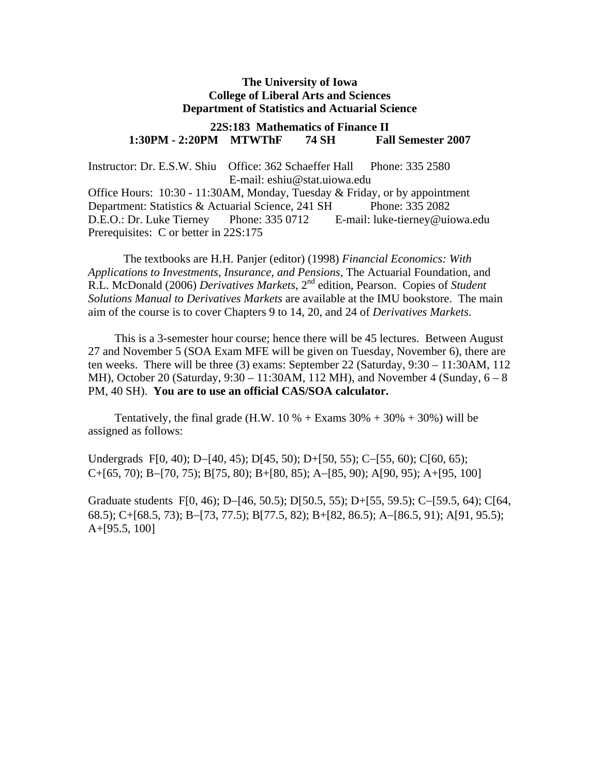#### **The University of Iowa College of Liberal Arts and Sciences Department of Statistics and Actuarial Science**

#### **22S:183 Mathematics of Finance II 1:30PM - 2:20PM MTWThF 74 SH Fall Semester 2007**

Instructor: Dr. E.S.W. Shiu Office: 362 Schaeffer Hall Phone: 335 2580 E-mail: eshiu@stat.uiowa.edu

Office Hours:  $10:30 - 11:30AM$ , Monday, Tuesday & Friday, or by appointment Department: Statistics & Actuarial Science, 241 SH Phone: 335 2082 D.E.O.: Dr. Luke Tierney Phone: 335 0712 E-mail: luke-tierney@uiowa.edu Prerequisites: C or better in 22S:175

The textbooks are H.H. Panjer (editor) (1998) *Financial Economics: With Applications to Investments, Insurance, and Pensions,* The Actuarial Foundation, and R.L. McDonald (2006) *Derivatives Markets*, 2nd edition, Pearson. Copies of *Student Solutions Manual to Derivatives Markets* are available at the IMU bookstore. The main aim of the course is to cover Chapters 9 to 14, 20, and 24 of *Derivatives Markets*.

This is a 3-semester hour course; hence there will be 45 lectures. Between August 27 and November 5 (SOA Exam MFE will be given on Tuesday, November 6), there are ten weeks. There will be three (3) exams: September 22 (Saturday, 9:30 – 11:30AM, 112 MH), October 20 (Saturday,  $9:30 - 11:30$ AM, 112 MH), and November 4 (Sunday,  $6 - 8$ ) PM, 40 SH). **You are to use an official CAS/SOA calculator.** 

Tentatively, the final grade (H.W. 10 % + Exams  $30\% + 30\% + 30\%$ ) will be assigned as follows:

Undergrads F[0, 40); D−[40, 45); D[45, 50); D+[50, 55); C−[55, 60); C[60, 65); C+[65, 70); B−[70, 75); B[75, 80); B+[80, 85); A−[85, 90); A[90, 95); A+[95, 100]

Graduate students F[0, 46); D−[46, 50.5); D[50.5, 55); D+[55, 59.5); C−[59.5, 64); C[64, 68.5); C+[68.5, 73); B−[73, 77.5); B[77.5, 82); B+[82, 86.5); A−[86.5, 91); A[91, 95.5); A+[95.5, 100]